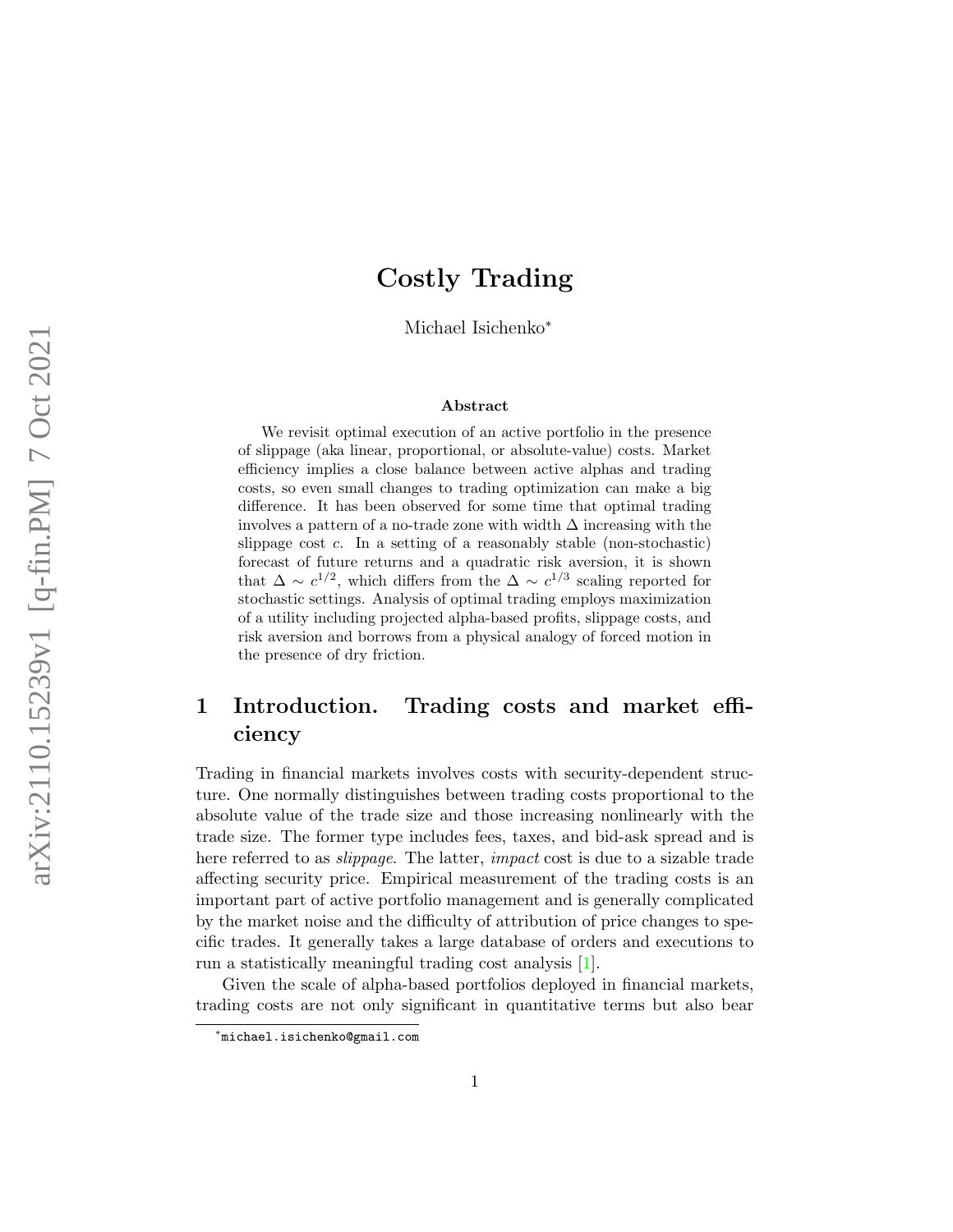# Costly Trading

Michael Isichenko<sup>∗</sup>

#### Abstract

We revisit optimal execution of an active portfolio in the presence of slippage (aka linear, proportional, or absolute-value) costs. Market efficiency implies a close balance between active alphas and trading costs, so even small changes to trading optimization can make a big difference. It has been observed for some time that optimal trading involves a pattern of a no-trade zone with width  $\Delta$  increasing with the slippage cost  $c$ . In a setting of a reasonably stable (non-stochastic) forecast of future returns and a quadratic risk aversion, it is shown that  $\Delta \sim c^{1/2}$ , which differs from the  $\Delta \sim c^{1/3}$  scaling reported for stochastic settings. Analysis of optimal trading employs maximization of a utility including projected alpha-based profits, slippage costs, and risk aversion and borrows from a physical analogy of forced motion in the presence of dry friction.

## 1 Introduction. Trading costs and market efficiency

Trading in financial markets involves costs with security-dependent structure. One normally distinguishes between trading costs proportional to the absolute value of the trade size and those increasing nonlinearly with the trade size. The former type includes fees, taxes, and bid-ask spread and is here referred to as *slippage*. The latter, *impact* cost is due to a sizable trade affecting security price. Empirical measurement of the trading costs is an important part of active portfolio management and is generally complicated by the market noise and the difficulty of attribution of price changes to specific trades. It generally takes a large database of orders and executions to run a statistically meaningful trading cost analysis [\[1\]](#page-7-0).

Given the scale of alpha-based portfolios deployed in financial markets, trading costs are not only significant in quantitative terms but also bear

<sup>∗</sup> michael.isichenko@gmail.com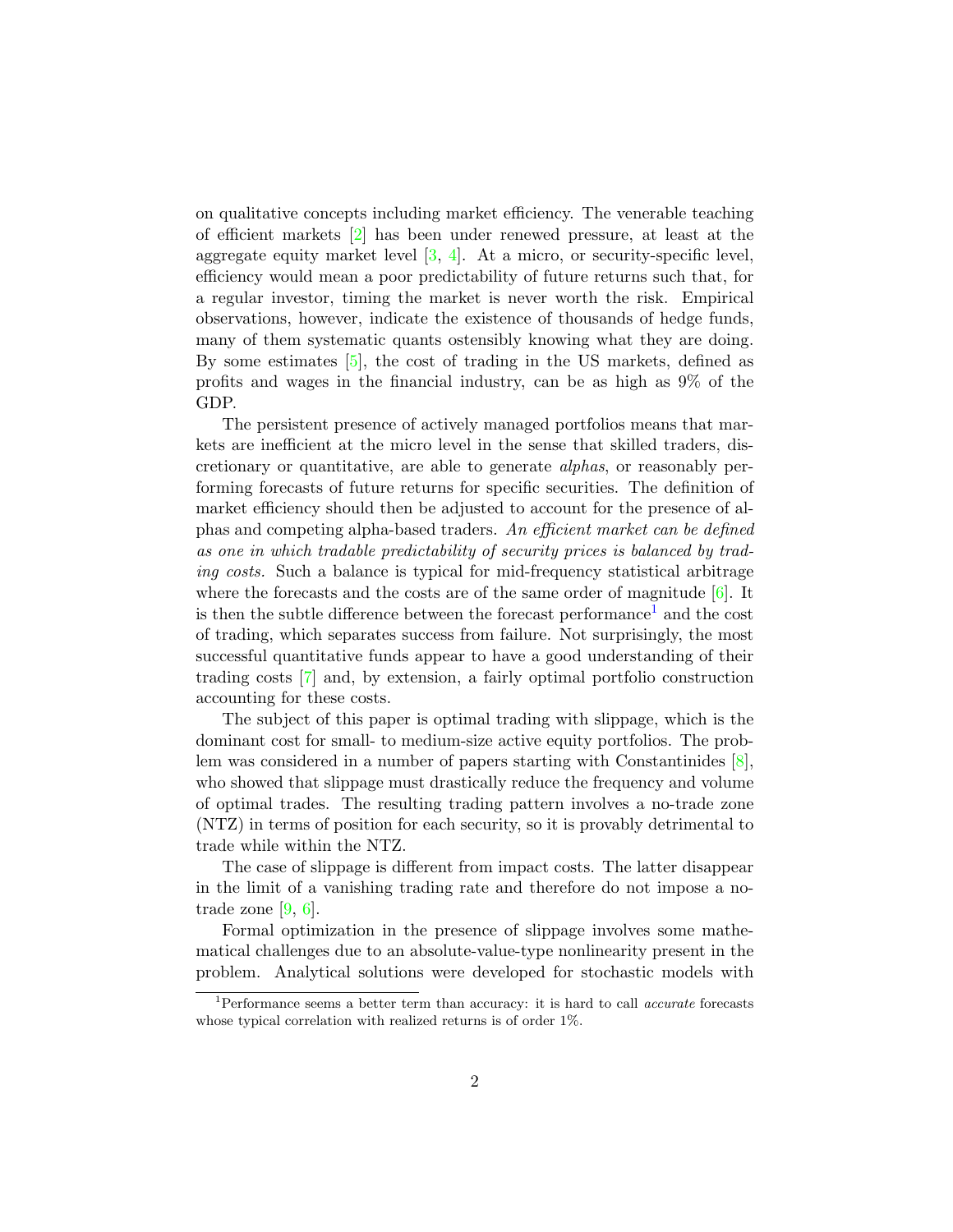on qualitative concepts including market efficiency. The venerable teaching of efficient markets [\[2\]](#page-7-1) has been under renewed pressure, at least at the aggregate equity market level  $[3, 4]$  $[3, 4]$  $[3, 4]$ . At a micro, or security-specific level, efficiency would mean a poor predictability of future returns such that, for a regular investor, timing the market is never worth the risk. Empirical observations, however, indicate the existence of thousands of hedge funds, many of them systematic quants ostensibly knowing what they are doing. By some estimates [\[5\]](#page-8-1), the cost of trading in the US markets, defined as profits and wages in the financial industry, can be as high as 9% of the GDP.

The persistent presence of actively managed portfolios means that markets are inefficient at the micro level in the sense that skilled traders, discretionary or quantitative, are able to generate alphas, or reasonably performing forecasts of future returns for specific securities. The definition of market efficiency should then be adjusted to account for the presence of alphas and competing alpha-based traders. An efficient market can be defined as one in which tradable predictability of security prices is balanced by trading costs. Such a balance is typical for mid-frequency statistical arbitrage where the forecasts and the costs are of the same order of magnitude  $[6]$ . It is then the subtle difference between the forecast performance<sup>[1](#page-1-0)</sup> and the cost of trading, which separates success from failure. Not surprisingly, the most successful quantitative funds appear to have a good understanding of their trading costs [\[7\]](#page-8-3) and, by extension, a fairly optimal portfolio construction accounting for these costs.

The subject of this paper is optimal trading with slippage, which is the dominant cost for small- to medium-size active equity portfolios. The problem was considered in a number of papers starting with Constantinides [\[8\]](#page-8-4), who showed that slippage must drastically reduce the frequency and volume of optimal trades. The resulting trading pattern involves a no-trade zone (NTZ) in terms of position for each security, so it is provably detrimental to trade while within the NTZ.

The case of slippage is different from impact costs. The latter disappear in the limit of a vanishing trading rate and therefore do not impose a notrade zone [\[9,](#page-8-5) [6\]](#page-8-2).

Formal optimization in the presence of slippage involves some mathematical challenges due to an absolute-value-type nonlinearity present in the problem. Analytical solutions were developed for stochastic models with

<span id="page-1-0"></span><sup>&</sup>lt;sup>1</sup>Performance seems a better term than accuracy: it is hard to call *accurate* forecasts whose typical correlation with realized returns is of order 1%.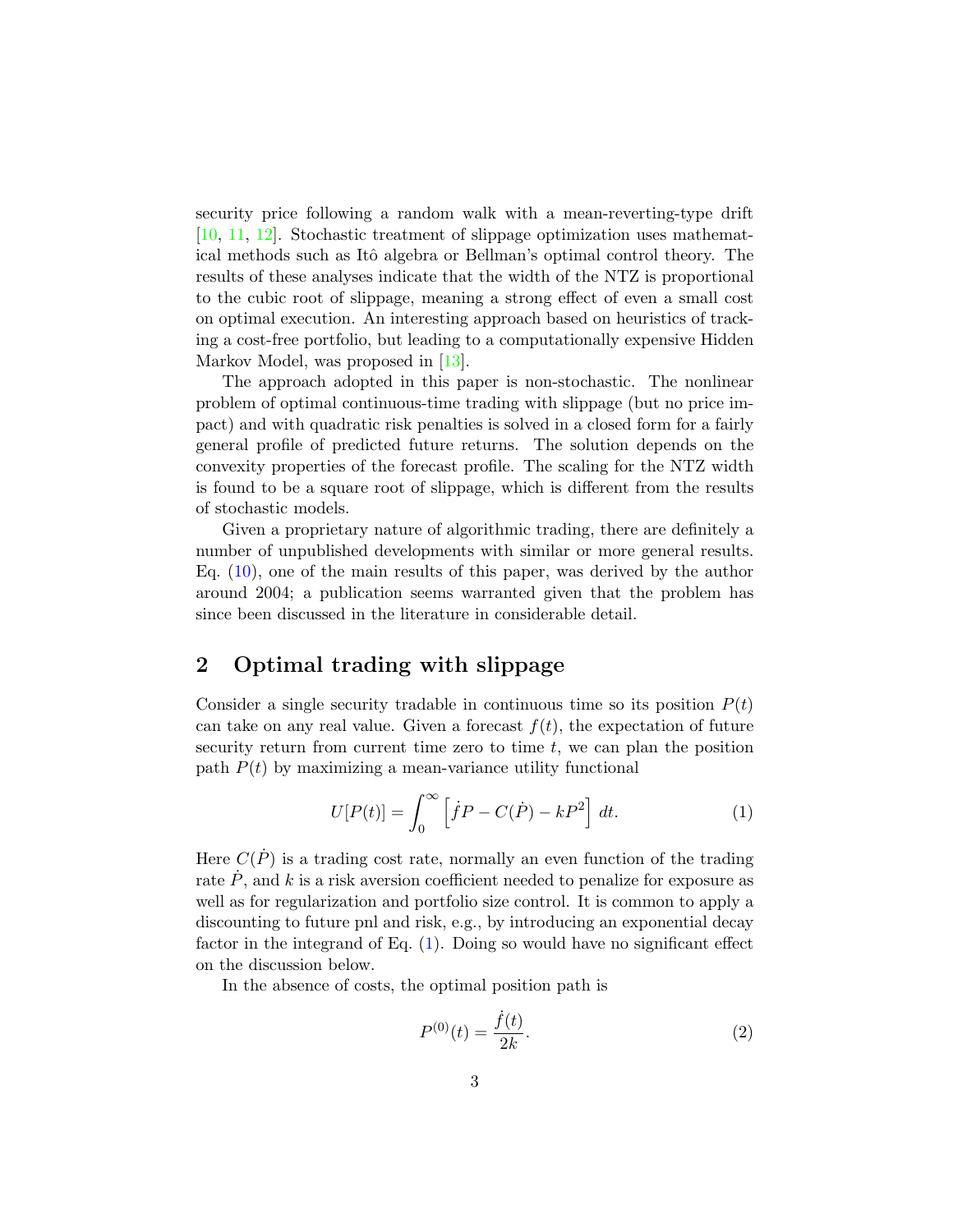security price following a random walk with a mean-reverting-type drift [\[10,](#page-8-6) [11,](#page-8-7) [12\]](#page-8-8). Stochastic treatment of slippage optimization uses mathematical methods such as Itô algebra or Bellman's optimal control theory. The results of these analyses indicate that the width of the NTZ is proportional to the cubic root of slippage, meaning a strong effect of even a small cost on optimal execution. An interesting approach based on heuristics of tracking a cost-free portfolio, but leading to a computationally expensive Hidden Markov Model, was proposed in [\[13\]](#page-8-9).

The approach adopted in this paper is non-stochastic. The nonlinear problem of optimal continuous-time trading with slippage (but no price impact) and with quadratic risk penalties is solved in a closed form for a fairly general profile of predicted future returns. The solution depends on the convexity properties of the forecast profile. The scaling for the NTZ width is found to be a square root of slippage, which is different from the results of stochastic models.

Given a proprietary nature of algorithmic trading, there are definitely a number of unpublished developments with similar or more general results. Eq. [\(10\)](#page-4-0), one of the main results of this paper, was derived by the author around 2004; a publication seems warranted given that the problem has since been discussed in the literature in considerable detail.

#### 2 Optimal trading with slippage

Consider a single security tradable in continuous time so its position  $P(t)$ can take on any real value. Given a forecast  $f(t)$ , the expectation of future security return from current time zero to time  $t$ , we can plan the position path  $P(t)$  by maximizing a mean-variance utility functional

<span id="page-2-0"></span>
$$
U[P(t)] = \int_0^\infty \left[ \dot{f}P - C(\dot{P}) - kP^2 \right] dt.
$$
 (1)

Here  $C(\dot{P})$  is a trading cost rate, normally an even function of the trading rate  $\dot{P}$ , and k is a risk aversion coefficient needed to penalize for exposure as well as for regularization and portfolio size control. It is common to apply a discounting to future pnl and risk, e.g., by introducing an exponential decay factor in the integrand of Eq.  $(1)$ . Doing so would have no significant effect on the discussion below.

In the absence of costs, the optimal position path is

<span id="page-2-1"></span>
$$
P^{(0)}(t) = \frac{\dot{f}(t)}{2k}.
$$
 (2)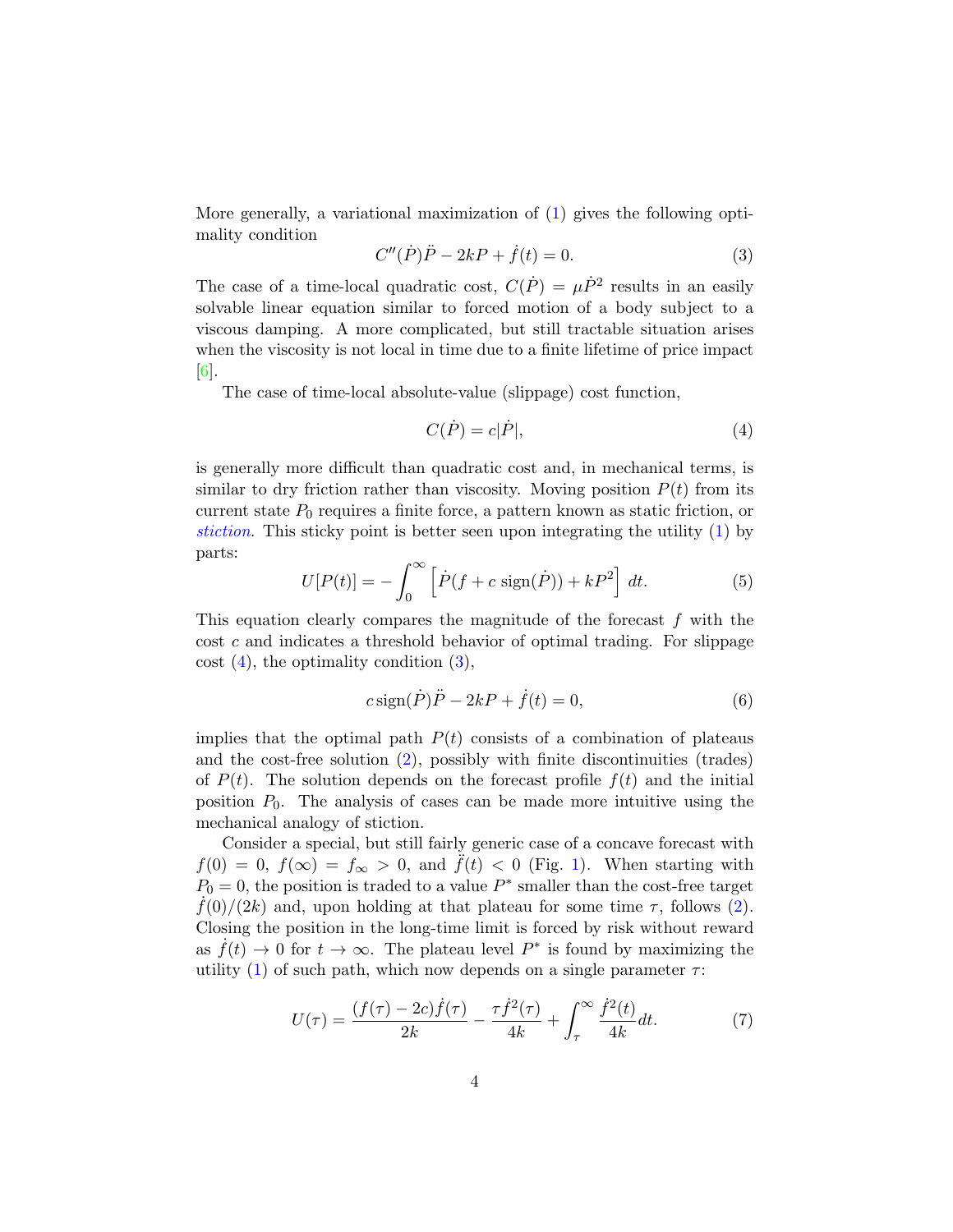More generally, a variational maximization of [\(1\)](#page-2-0) gives the following optimality condition

<span id="page-3-1"></span>
$$
C''(\dot{P})\ddot{P} - 2kP + \dot{f}(t) = 0.
$$
 (3)

The case of a time-local quadratic cost,  $C(\dot{P}) = \mu \dot{P}^2$  results in an easily solvable linear equation similar to forced motion of a body subject to a viscous damping. A more complicated, but still tractable situation arises when the viscosity is not local in time due to a finite lifetime of price impact [\[6\]](#page-8-2).

The case of time-local absolute-value (slippage) cost function,

<span id="page-3-0"></span>
$$
C(\dot{P}) = c|\dot{P}|,\t\t(4)
$$

is generally more difficult than quadratic cost and, in mechanical terms, is similar to dry friction rather than viscosity. Moving position  $P(t)$  from its current state  $P_0$  requires a finite force, a pattern known as static friction, or [stiction](https://en.wikipedia.org/wiki/Stiction). This sticky point is better seen upon integrating the utility [\(1\)](#page-2-0) by parts:

$$
U[P(t)] = -\int_0^\infty \left[ \dot{P}(f + c \operatorname{sign}(\dot{P})) + kP^2 \right] dt.
$$
 (5)

This equation clearly compares the magnitude of the forecast  $f$  with the cost c and indicates a threshold behavior of optimal trading. For slippage  $\cot(4)$  $\cot(4)$ , the optimality condition  $(3)$ ,

$$
c \operatorname{sign}(\dot{P})\ddot{P} - 2kP + \dot{f}(t) = 0,\tag{6}
$$

implies that the optimal path  $P(t)$  consists of a combination of plateaus and the cost-free solution  $(2)$ , possibly with finite discontinuities (trades) of  $P(t)$ . The solution depends on the forecast profile  $f(t)$  and the initial position  $P_0$ . The analysis of cases can be made more intuitive using the mechanical analogy of stiction.

Consider a special, but still fairly generic case of a concave forecast with  $f(0) = 0, f(\infty) = f_\infty > 0$ , and  $\tilde{f}(t) < 0$  (Fig. [1\)](#page-4-1). When starting with  $P_0 = 0$ , the position is traded to a value  $P^*$  smaller than the cost-free target  $f(0)/(2k)$  and, upon holding at that plateau for some time  $\tau$ , follows [\(2\)](#page-2-1). Closing the position in the long-time limit is forced by risk without reward as  $\dot{f}(t) \to 0$  for  $t \to \infty$ . The plateau level  $P^*$  is found by maximizing the utility [\(1\)](#page-2-0) of such path, which now depends on a single parameter  $\tau$ :

$$
U(\tau) = \frac{(f(\tau) - 2c)\dot{f}(\tau)}{2k} - \frac{\tau \dot{f}^2(\tau)}{4k} + \int_{\tau}^{\infty} \frac{\dot{f}^2(t)}{4k} dt.
$$
 (7)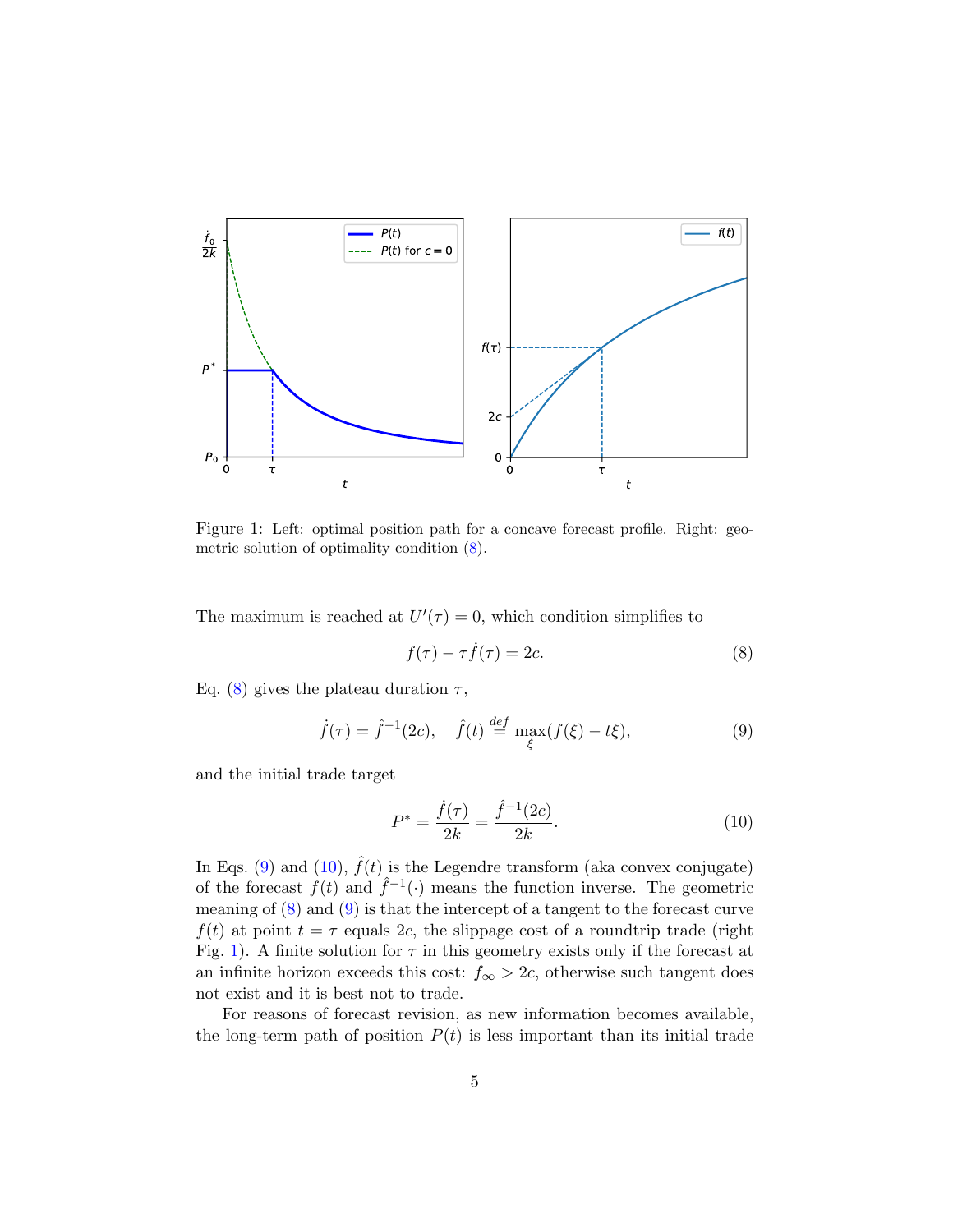

<span id="page-4-1"></span>Figure 1: Left: optimal position path for a concave forecast profile. Right: geometric solution of optimality condition [\(8\)](#page-4-2).

The maximum is reached at  $U'(\tau) = 0$ , which condition simplifies to

<span id="page-4-2"></span>
$$
f(\tau) - \tau \dot{f}(\tau) = 2c. \tag{8}
$$

Eq. [\(8\)](#page-4-2) gives the plateau duration  $\tau$ ,

<span id="page-4-3"></span>
$$
\dot{f}(\tau) = \hat{f}^{-1}(2c), \quad \hat{f}(t) \stackrel{def}{=} \max_{\xi} (f(\xi) - t\xi), \tag{9}
$$

and the initial trade target

<span id="page-4-0"></span>
$$
P^* = \frac{\dot{f}(\tau)}{2k} = \frac{\hat{f}^{-1}(2c)}{2k}.
$$
 (10)

In Eqs. [\(9\)](#page-4-3) and [\(10\)](#page-4-0),  $\hat{f}(t)$  is the Legendre transform (aka convex conjugate) of the forecast  $f(t)$  and  $\hat{f}^{-1}(\cdot)$  means the function inverse. The geometric meaning of [\(8\)](#page-4-2) and [\(9\)](#page-4-3) is that the intercept of a tangent to the forecast curve  $f(t)$  at point  $t = \tau$  equals 2c, the slippage cost of a roundtrip trade (right Fig. [1\)](#page-4-1). A finite solution for  $\tau$  in this geometry exists only if the forecast at an infinite horizon exceeds this cost:  $f_{\infty} > 2c$ , otherwise such tangent does not exist and it is best not to trade.

For reasons of forecast revision, as new information becomes available, the long-term path of position  $P(t)$  is less important than its initial trade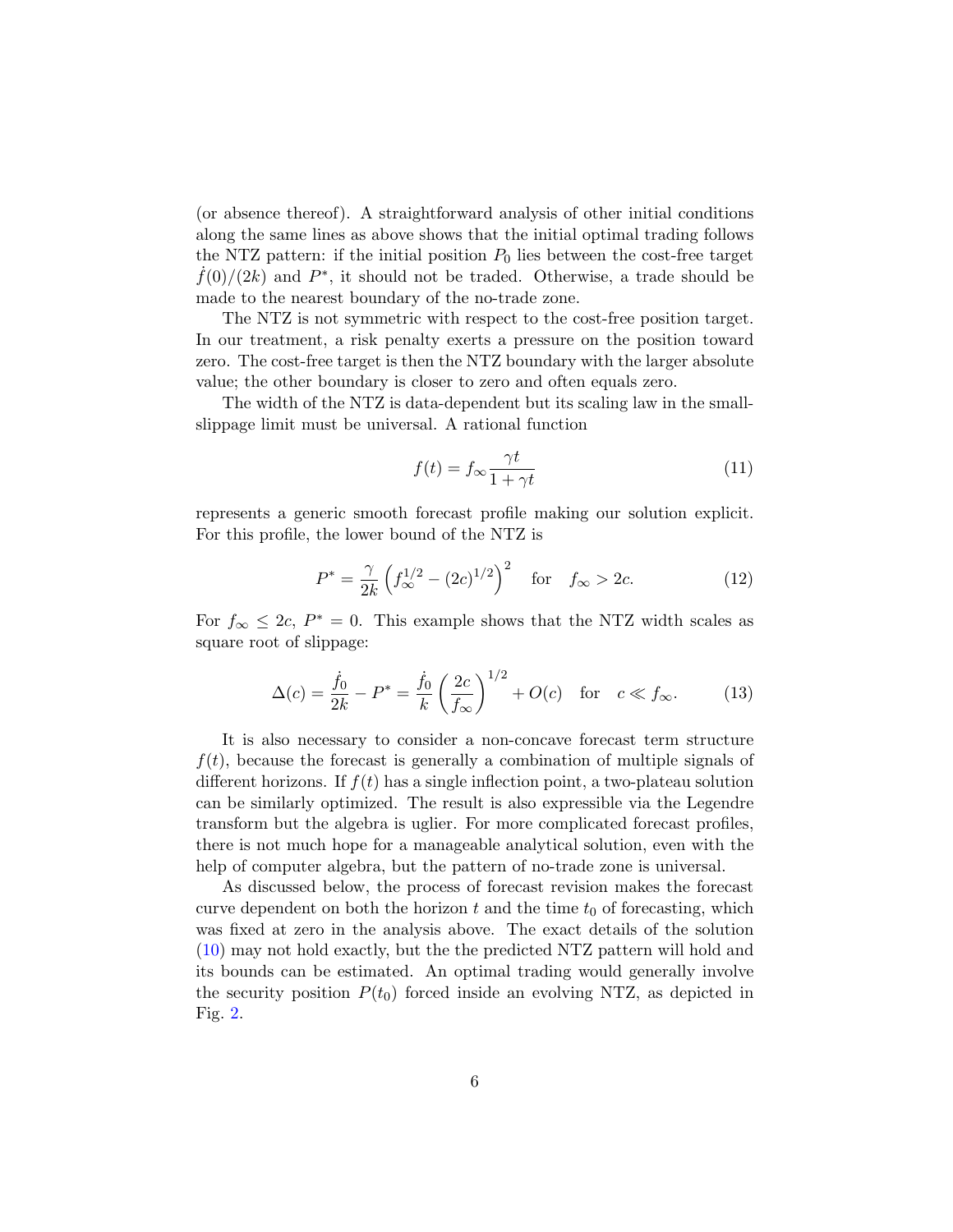(or absence thereof). A straightforward analysis of other initial conditions along the same lines as above shows that the initial optimal trading follows the NTZ pattern: if the initial position  $P_0$  lies between the cost-free target  $\dot{f}(0)/(2k)$  and  $P^*$ , it should not be traded. Otherwise, a trade should be made to the nearest boundary of the no-trade zone.

The NTZ is not symmetric with respect to the cost-free position target. In our treatment, a risk penalty exerts a pressure on the position toward zero. The cost-free target is then the NTZ boundary with the larger absolute value; the other boundary is closer to zero and often equals zero.

The width of the NTZ is data-dependent but its scaling law in the smallslippage limit must be universal. A rational function

$$
f(t) = f_{\infty} \frac{\gamma t}{1 + \gamma t}
$$
\n(11)

represents a generic smooth forecast profile making our solution explicit. For this profile, the lower bound of the NTZ is

$$
P^* = \frac{\gamma}{2k} \left( f_{\infty}^{1/2} - (2c)^{1/2} \right)^2 \quad \text{for} \quad f_{\infty} > 2c. \tag{12}
$$

For  $f_{\infty} \leq 2c$ ,  $P^* = 0$ . This example shows that the NTZ width scales as square root of slippage:

$$
\Delta(c) = \frac{\dot{f}_0}{2k} - P^* = \frac{\dot{f}_0}{k} \left(\frac{2c}{f_{\infty}}\right)^{1/2} + O(c) \text{ for } c \ll f_{\infty}.
$$
 (13)

It is also necessary to consider a non-concave forecast term structure  $f(t)$ , because the forecast is generally a combination of multiple signals of different horizons. If  $f(t)$  has a single inflection point, a two-plateau solution can be similarly optimized. The result is also expressible via the Legendre transform but the algebra is uglier. For more complicated forecast profiles, there is not much hope for a manageable analytical solution, even with the help of computer algebra, but the pattern of no-trade zone is universal.

As discussed below, the process of forecast revision makes the forecast curve dependent on both the horizon t and the time  $t_0$  of forecasting, which was fixed at zero in the analysis above. The exact details of the solution [\(10\)](#page-4-0) may not hold exactly, but the the predicted NTZ pattern will hold and its bounds can be estimated. An optimal trading would generally involve the security position  $P(t_0)$  forced inside an evolving NTZ, as depicted in Fig. [2.](#page-6-0)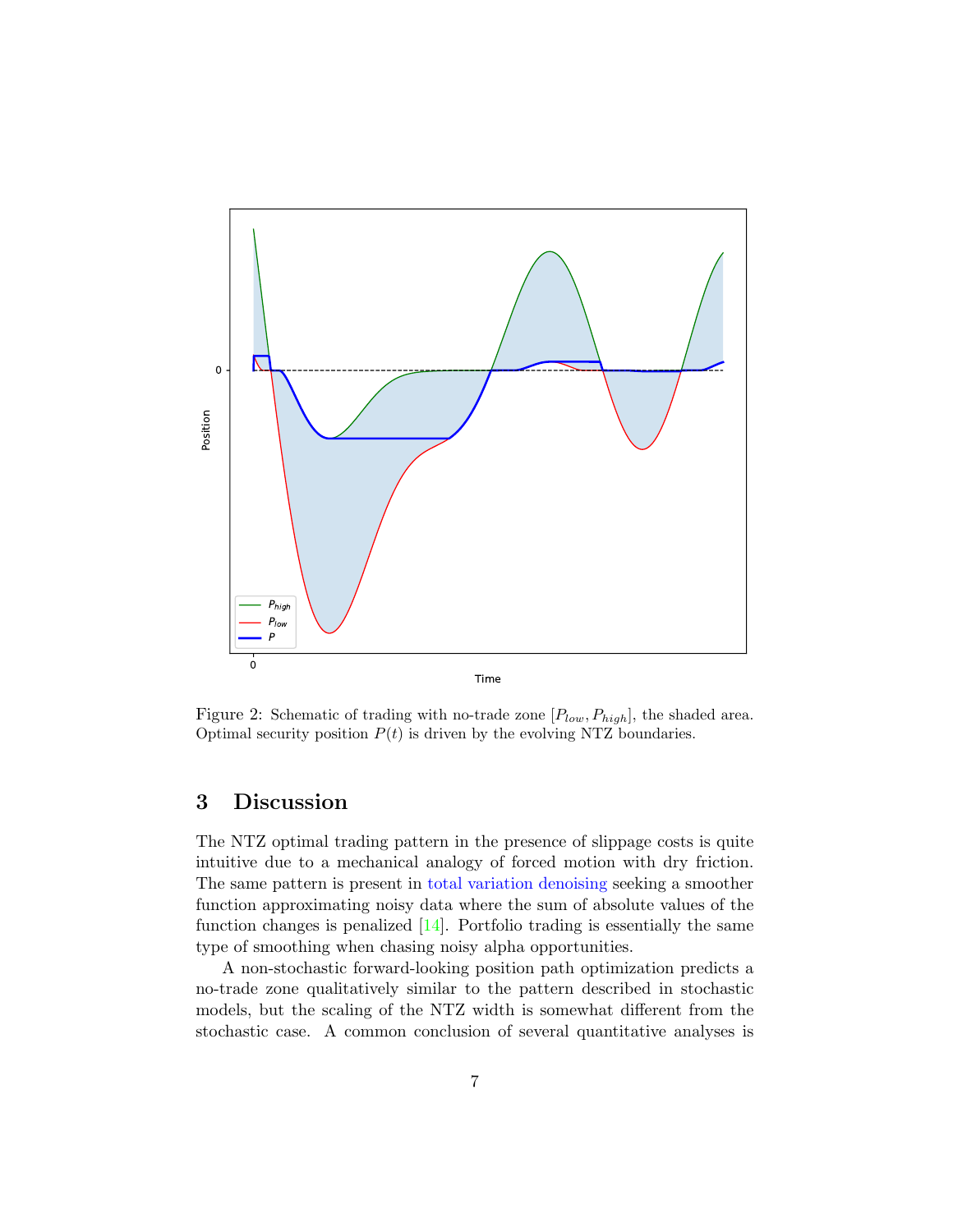

<span id="page-6-0"></span>Figure 2: Schematic of trading with no-trade zone  $[P_{low}, P_{high}]$ , the shaded area. Optimal security position  $P(t)$  is driven by the evolving NTZ boundaries.

### 3 Discussion

The NTZ optimal trading pattern in the presence of slippage costs is quite intuitive due to a mechanical analogy of forced motion with dry friction. The same pattern is present in [total variation denoising](https://en.wikipedia.org/wiki/Total_variation_denoising) seeking a smoother function approximating noisy data where the sum of absolute values of the function changes is penalized  $[14]$ . Portfolio trading is essentially the same type of smoothing when chasing noisy alpha opportunities.

A non-stochastic forward-looking position path optimization predicts a no-trade zone qualitatively similar to the pattern described in stochastic models, but the scaling of the NTZ width is somewhat different from the stochastic case. A common conclusion of several quantitative analyses is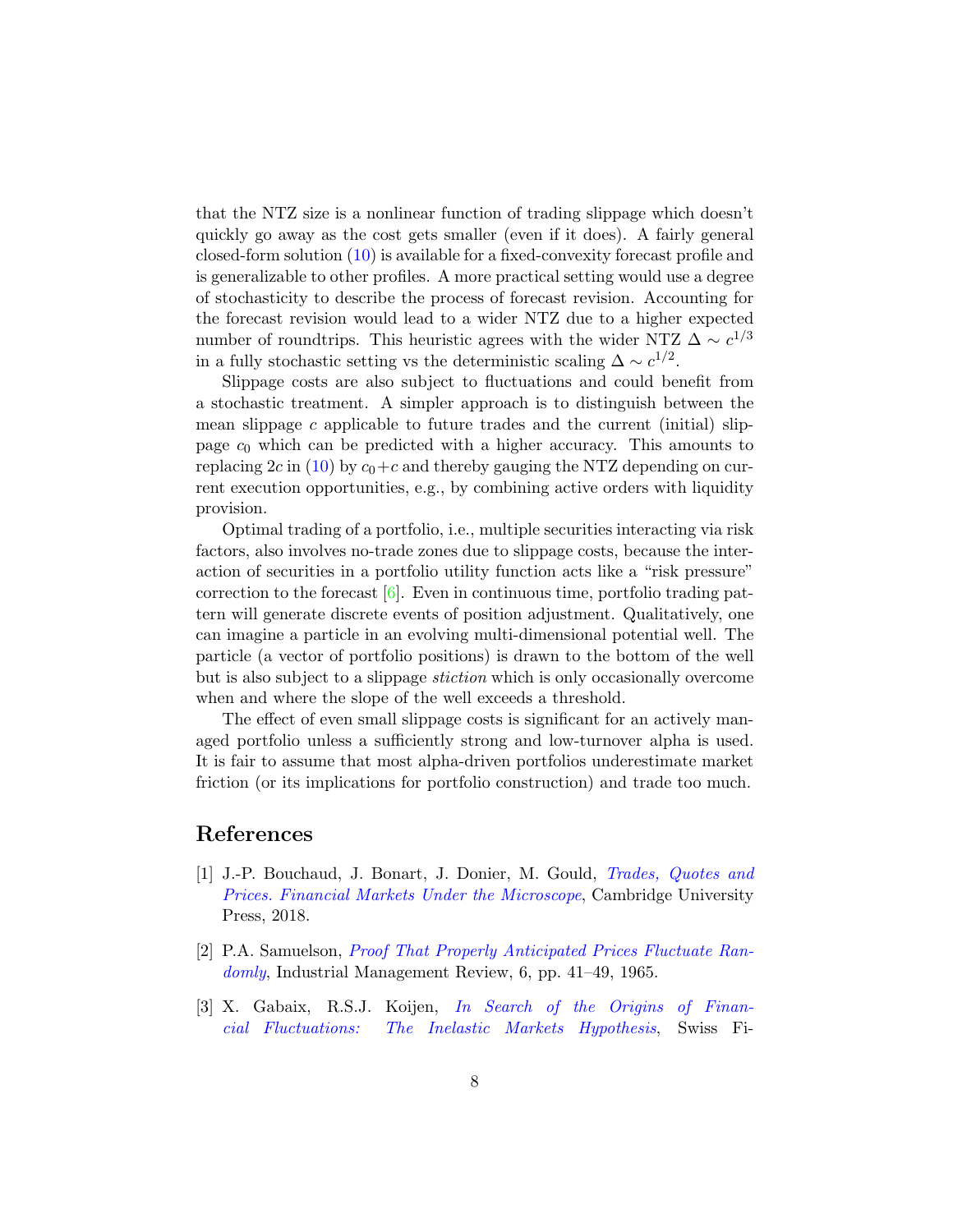that the NTZ size is a nonlinear function of trading slippage which doesn't quickly go away as the cost gets smaller (even if it does). A fairly general closed-form solution [\(10\)](#page-4-0) is available for a fixed-convexity forecast profile and is generalizable to other profiles. A more practical setting would use a degree of stochasticity to describe the process of forecast revision. Accounting for the forecast revision would lead to a wider NTZ due to a higher expected number of roundtrips. This heuristic agrees with the wider NTZ  $\Delta \sim c^{1/3}$ in a fully stochastic setting vs the deterministic scaling  $\Delta \sim c^{1/2}$ .

Slippage costs are also subject to fluctuations and could benefit from a stochastic treatment. A simpler approach is to distinguish between the mean slippage c applicable to future trades and the current (initial) slippage  $c_0$  which can be predicted with a higher accuracy. This amounts to replacing  $2c$  in [\(10\)](#page-4-0) by  $c_0+c$  and thereby gauging the NTZ depending on current execution opportunities, e.g., by combining active orders with liquidity provision.

Optimal trading of a portfolio, i.e., multiple securities interacting via risk factors, also involves no-trade zones due to slippage costs, because the interaction of securities in a portfolio utility function acts like a "risk pressure" correction to the forecast  $[6]$ . Even in continuous time, portfolio trading pattern will generate discrete events of position adjustment. Qualitatively, one can imagine a particle in an evolving multi-dimensional potential well. The particle (a vector of portfolio positions) is drawn to the bottom of the well but is also subject to a slippage stiction which is only occasionally overcome when and where the slope of the well exceeds a threshold.

The effect of even small slippage costs is significant for an actively managed portfolio unless a sufficiently strong and low-turnover alpha is used. It is fair to assume that most alpha-driven portfolios underestimate market friction (or its implications for portfolio construction) and trade too much.

#### References

- <span id="page-7-0"></span>[1] J.-P. Bouchaud, J. Bonart, J. Donier, M. Gould, [Trades, Quotes and](https://www.amazon.com/Trades-Quotes-Prices-Financial-Microscope/dp/110715605X) [Prices. Financial Markets Under the Microscope](https://www.amazon.com/Trades-Quotes-Prices-Financial-Microscope/dp/110715605X), Cambridge University Press, 2018.
- <span id="page-7-1"></span>[2] P.A. Samuelson, [Proof That Properly Anticipated Prices Fluctuate Ran](https://www.jstor.org/stable/3003046?seq=1)[domly](https://www.jstor.org/stable/3003046?seq=1), Industrial Management Review, 6, pp. 41–49, 1965.
- <span id="page-7-2"></span>[3] X. Gabaix, R.S.J. Koijen, [In Search of the Origins of Finan](https://ssrn.com/abstract=3686935)[cial Fluctuations: The Inelastic Markets Hypothesis](https://ssrn.com/abstract=3686935), Swiss Fi-